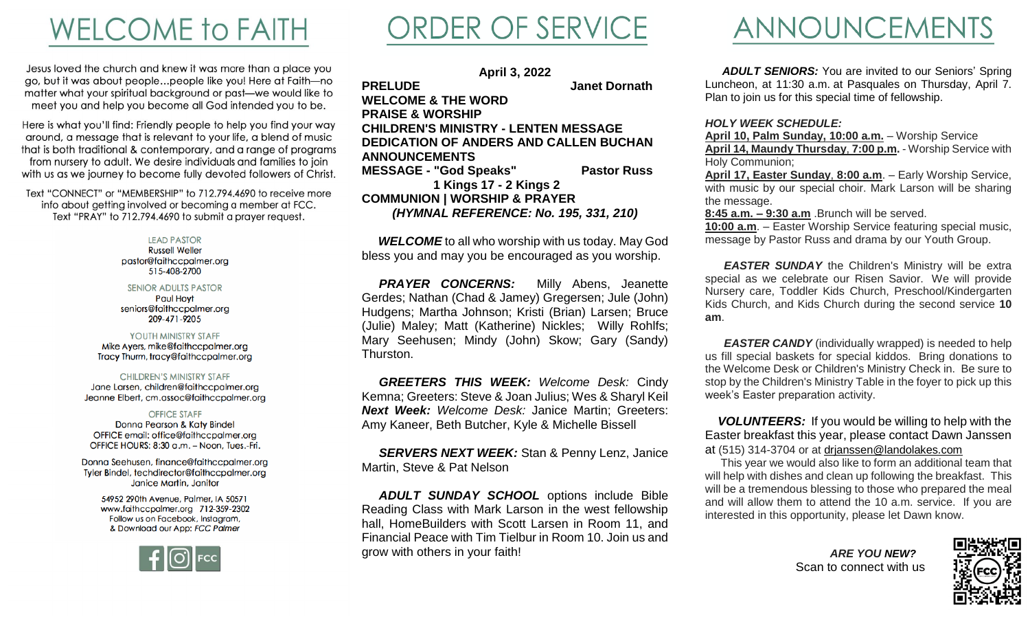### **WELCOME to FAITH**

Jesus loved the church and knew it was more than a place you go, but it was about people...people like you! Here at Faith-no matter what your spiritual background or past-we would like to meet you and help you become all God intended you to be.

Here is what you'll find: Friendly people to help you find your way around, a message that is relevant to your life, a blend of music that is both traditional & contemporary, and a range of programs from nursery to adult. We desire individuals and families to join with us as we journey to become fully devoted followers of Christ.

Text "CONNECT" or "MEMBERSHIP" to 712.794.4690 to receive more info about getting involved or becoming a member at FCC. Text "PRAY" to 712.794.4690 to submit a prayer request.

### **LEAD PASTOR**

**Russell Weller** pastor@faithccpalmer.org 515-408-2700

### **SENIOR ADULTS PASTOR**

**Paul Hovt** seniors@faithccpalmer.org 209-471-9205

### YOUTH MINISTRY STAFF

Mike Ayers, mike@faithccpalmer.org Tracy Thurm, tracy@faithccpalmer.org

#### **CHILDREN'S MINISTRY STAFF**

Jane Larsen, children@faithccpalmer.org Jeanne Elbert, cm.assoc@faithccpalmer.org

### **OFFICE STAFF**

Donna Pearson & Katy Bindel OFFICE email: office@faithccpalmer.org OFFICE HOURS: 8:30 a.m. - Noon, Tues.-Fri.

Donna Seehusen, finance@faithccpalmer.org Tyler Bindel, techdirector@faithccpalmer.org Janice Martin, Janitor

> 54952 290th Avenue, Palmer, IA 50571 www.faithccpalmer.org 712-359-2302 Follow us on Facebook, Instagram, & Download our App: FCC Palmer



### ORDER OF SERVICE

**April 3, 2022 PRELUDE Janet Dornath WELCOME & THE WORD PRAISE & WORSHIP CHILDREN'S MINISTRY - LENTEN MESSAGE DEDICATION OF ANDERS AND CALLEN BUCHAN ANNOUNCEMENTS MESSAGE - "God Speaks" Pastor Russ 1 Kings 17 - 2 Kings 2 COMMUNION | WORSHIP & PRAYER**

*(HYMNAL REFERENCE: No. 195, 331, 210)*

*WELCOME* to all who worship with us today. May God bless you and may you be encouraged as you worship.

**PRAYER CONCERNS:** Milly Abens, Jeanette Gerdes; Nathan (Chad & Jamey) Gregersen; Jule (John) Hudgens; Martha Johnson; Kristi (Brian) Larsen; Bruce (Julie) Maley; Matt (Katherine) Nickles; Willy Rohlfs; Mary Seehusen; Mindy (John) Skow; Gary (Sandy) Thurston.

 *GREETERS THIS WEEK: Welcome Desk:* Cindy Kemna; Greeters: Steve & Joan Julius; Wes & Sharyl Keil *Next Week: Welcome Desk:* Janice Martin; Greeters: Amy Kaneer, Beth Butcher, Kyle & Michelle Bissell

 *SERVERS NEXT WEEK:* Stan & Penny Lenz, Janice Martin, Steve & Pat Nelson

 *ADULT SUNDAY SCHOOL* options include Bible Reading Class with Mark Larson in the west fellowship hall, HomeBuilders with Scott Larsen in Room 11, and Financial Peace with Tim Tielbur in Room 10. Join us and grow with others in your faith!

### ANNOUNCEMENTS

**ADULT SENIORS:** You are invited to our Seniors' Spring Luncheon, at 11:30 a.m. at Pasquales on Thursday, April 7. Plan to join us for this special time of fellowship.

### *HOLY WEEK SCHEDULE:*

**April 10, Palm Sunday, 10:00 a.m.** – Worship Service **April 14, Maundy Thursday**, **7:00 p.m.** - Worship Service with Holy Communion;

**April 17, Easter Sunday**, **8:00 a.m**. – Early Worship Service, with music by our special choir. Mark Larson will be sharing the message.

**8:45 a.m. – 9:30 a.m** .Brunch will be served.

**10:00 a.m**. – Easter Worship Service featuring special music, message by Pastor Russ and drama by our Youth Group.

 *EASTER SUNDAY* the Children's Ministry will be extra special as we celebrate our Risen Savior. We will provide Nursery care, Toddler Kids Church, Preschool/Kindergarten Kids Church, and Kids Church during the second service **10 am**.

*EASTER CANDY* (individually wrapped) is needed to help us fill special baskets for special kiddos. Bring donations to the Welcome Desk or Children's Ministry Check in. Be sure to stop by the Children's Ministry Table in the foyer to pick up this week's Easter preparation activity.

 *VOLUNTEERS:* If you would be willing to help with the Easter breakfast this year, please contact Dawn Janssen at (515) 314-3704 or at [drjanssen@landolakes.com](mailto:drjanssen@landolakes.com)

 This year we would also like to form an additional team that will help with dishes and clean up following the breakfast. This will be a tremendous blessing to those who prepared the meal and will allow them to attend the 10 a.m. service. If you are interested in this opportunity, please let Dawn know.

> *ARE YOU NEW?* **Scan to connect with us**